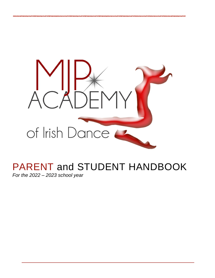

# PARENT and STUDENT HANDBOOK

*For the 2022 – 2023 school year*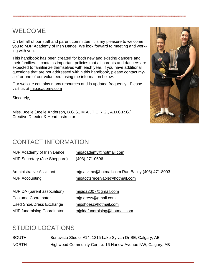## WELCOME

On behalf of our staff and parent committee, it is my pleasure to welcome you to MJP Academy of Irish Dance. We look forward to meeting and working with you.

This handbook has been created for both new and existing dancers and their families. It contains important policies that all parents and dancers are expected to familiarize themselves with each year. If you have additional questions that are not addressed within this handbook, please contact myself or one of our volunteers using the information below.

Our website contains many resources and is updated frequently. Please visit us at [mjpacademy.com](http://www.mjpacademy.com/)

Sincerely,

Miss. Joelle (Joelle Anderson, B.G.S., M.A., T.C.R.G., A.D.C.R.G.) Creative Director & Head Instructor



## CONTACT INFORMATION

| MJP Academy of Irish Dance         | mipacademy@hotmail.com                          |
|------------------------------------|-------------------------------------------------|
| MJP Secretary (Joe Sheppard)       | (403) 271.0696                                  |
| Administrative Assistant           | mip.askme@hotmail.com Rae Bailey (403) 471.8003 |
| <b>MJP Accounting</b>              | mipacctsreceivable@hotmail.com                  |
| <b>MJPIDA</b> (parent association) | mipida2007@gmail.com                            |
| <b>Costume Coordinator</b>         | mip.dress@gmail.com                             |
| Used Shoe/Dress Exchange           | mipshoes@hotmail.com                            |
| <b>MJP fundraising Coordinator</b> | mipidafundraising@hotmail.com                   |

## STUDIO LOCATIONS

SOUTH Bonavista Studio: #14, 1215 Lake Sylvan Dr SE, Calgary, AB NORTH Highwood Community Centre: 16 Harlow Avenue NW, Calgary, AB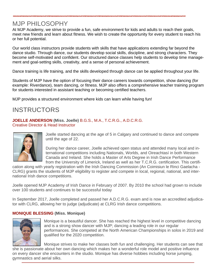## MJP PHILOSOPHY

At MJP Academy, we strive to provide a fun, safe environment for kids and adults to reach their goals, meet new friends and learn about fitness. We wish to create the opportunity for every student to reach his or her full potential.

Our world class instructors provide students with skills that have applications extending far beyond the dance studio. Through dance, our students develop social skills, discipline, and strong characters. They become self-motivated and confident. Our structured dance classes help students to develop time management and goal-setting skills, creativity, and a sense of personal achievement.

Dance training is life training, and the skills developed through dance can be applied throughout your life.

Students of MJP have the option of focusing their dance careers towards competition, show dancing (for example: Riverdance), team dancing, or fitness. MJP also offers a comprehensive teacher training program for students interested in assistant teaching or becoming certified teachers.

MJP provides a structured environment where kids can learn while having fun!

## **INSTRUCTORS**

**JOELLE ANDERSON (Miss. Joelle)** B.G.S., M.A., T.C.R.G., A.D.C.R.G. Creative Director & Head Instructor



Joelle started dancing at the age of 5 in Calgary and continued to dance and compete until the age of 22.

During her dance career, Joelle achieved open status and attended many local and international competitions including Nationals, Worlds, and Oireachtasí in both Western Canada and Ireland. She holds a Master of Arts Degree in Irish Dance Performance from the University of Limerick, Ireland as well as her T.C.R.G. certification. This certifi-

cation along with yearly registration with the Irish Dancing Commission (An Coimisiun le Rinci Gaelacha - CLRG) grants the students of MJP eligibility to register and compete in local, regional, national, and international Irish dance competitions.

Joelle opened MJP Academy of Irish Dance in February of 2007. By 2010 the school had grown to include over 100 students and continues to be successful today

In September 2017, Joelle completed and passed her A.D.C.R.G. exam and is now an accredited adjudicator with CLRG, allowing her to judge (adjudicate) at CLRG Irish dance competitions.

#### **MONIQUE BLESSING (Miss. Monique)**



Monique is a beautiful dancer. She has reached the highest level in competitive dancing and is a strong show dancer with MJP; dancing a leading role in our regular performances. She competed at the North American Championships in solos in 2019 and qualified for the 2020 competition.

Monique strives to make her classes both fun and challenging. Her students can see that she is passionate about her own dancing which makes her a wonderful role model and positive influence on every dancer she encounters in the studio. Monique has diverse hobbies including horse jumping, gymnastics and aerial silks.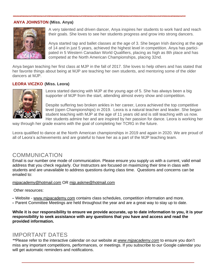#### **ANYA JOHNSTON (Miss. Anya)**



A very talented and driven dancer, Anya inspires her students to work hard and reach their goals. She loves to see her students progress and grow into strong dancers.

Anya started tap and ballet classes at the age of 3. She began Irish dancing at the age of 14 and in just 5 years, achieved the highest level in competition. Anya has participated in 5 Western Canadian World Qualifiers, placing as high as 8th place and has competed at the North American Championships, placing 32nd.

Anya began teaching her first class at MJP in the fall of 2017. She loves to help others and has stated that her favorite things about being at MJP are teaching her own students, and mentoring some of the older dancers at MJP.

#### **LEORA VICZKO (Miss. Leora)**



Leora started dancing with MJP at the young age of 5. She has always been a big supporter of MJP from the start, attending almost every show and competition.

Despite suffering two broken ankles in her career, Leora achieved the top competitive level (open Championships) in 2019. Leora is a natural teacher and leader. She began student teaching with MJP at the age of 11 years old and is still teaching with us now. Her students admire her and are inspired by her passion for dance. Leora is working her

way through her grade exams with the goal of completing her TCRG in the future.

Leora qualified to dance at the North American championships in 2019 and again in 2020. We are proud of all of Leora's achievements and are grateful to have her as a part of the MJP teaching team.

#### COMMUNICATION

Email is our number one mode of communication. Please ensure you supply us with a current, valid email address that you check regularly. Our Instructors are focused on maximizing their time in class with students and are unavailable to address questions during class time. Questions and concerns can be emailed to:

[mjpacademy@hotmail.com](mailto:mjpacademy@hotmail.com) OR [mjp.askme@hotmail.com](mailto:mjp.askme@hotmail.com)

Other resources:

- Website [www.mjpacademy.com](http://www.mjpacademy.com/) contains class schedules, competition information and more.
- Parent Committee Meetings are held throughout the year and are a great way to stay up to date.

While it is our responsibility to ensure we provide accurate, up to date information to you, it is your **responsibility to seek assistance with any questions that you have and access and read the provided information.**

#### IMPORTANT DATES

*\*\**Please refer to the interactive calendar on our website at *[www.mjpacademy.com](http://www.mjpacademy.com/)* to ensure you don't miss any important competitions, performances, or meetings. If you subscribe to our Google calendar you will get automatic reminders and notifications.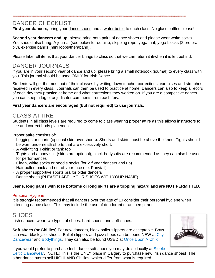### DANCER CHECKLIST

First year dancers, bring your dance shoes and a water bottle to each class. No glass bottles please!

**Second year dancers and up**, please bring both pairs of dance shoes and please wear white socks. You should also bring: A journal (see below for details), skipping rope, yoga mat, yoga blocks (2 preferably), exercise bands (mini loops/theraband).

Please label **all** items that your dancer brings to class so that we can return it if/when it is left behind.

#### DANCER JOURNALS

If you are in your second year of dance and up, please bring a small notebook (journal) to every class with you. This journal should be used ONLY for Irish Dance.

Students will get the most out of their classes by writing down teacher corrections, exercises and stretches received in every class. Journals can then be used to practice at home. Dancers can also to keep a record of each day they practice at home and what corrections they worked on. If you are a competitive dancer, you can keep a log of adjudicator comments from each feis.

#### **First year dancers are encouraged (but not required) to use journals**.

#### CLASS ATTIRE

Students in all class levels are required to come to class wearing proper attire as this allows instructors to see and correct body placement.

Proper attire consists of:

- Leggings or shorts (optional skirt over shorts). Shorts and skirts must be above the knee. Tights should be worn underneath shorts that are excessively short.
- A well-fitting T-shirt or tank top
- Tights and a body suit (skirts are optional), black bodysuits are recommended as they can also be used for performances
- Clean, white socks or poodle socks (for  $2^{nd}$  year dancers and up)
- Hair pulled back and out of your face (i.e. Ponytail)
- A proper supportive sports bra for older dancers
- Dance shoes (PLEASE LABEL YOUR SHOES WITH YOUR NAME)

#### **Jeans, long pants with lose bottoms or long skirts are a tripping hazard and are NOT PERMITTED.**

#### Personal Hygiene

It is strongly recommended that all dancers over the age of 10 consider their personal hygiene when attending dance class. This may include the use of deodorant or antiperspirant.

#### **SHOES**

Irish dancers wear two types of shoes: hard-shoes, and soft-shoes.

**Soft shoes (or Ghillies)** For new dancers, black ballet slippers are acceptable. Boys can wear black jazz shoes. Ballet slippers and jazz shoes can be found NEW at [City](https://citydancewear.com/?gclid=Cj0KCQjwmPSSBhCNARIsAH3cYgY0tHtwRn5jv_SGJaSX2cjkH-FpL5ZvPBysnZsJ9pR7NYiqwkRb6L8aAmuEEALw_wcB) [Dancewear](https://citydancewear.com/?gclid=Cj0KCQjwmPSSBhCNARIsAH3cYgY0tHtwRn5jv_SGJaSX2cjkH-FpL5ZvPBysnZsJ9pR7NYiqwkRb6L8aAmuEEALw_wcB) and [Bodythings.](https://www.bodythings.ca/) They can also be found USED at Once Upon A [Child.](https://www.onceuponachild.com/locations/calgary-ab-northwest)



If you would prefer to purchase Irish dance soft shoes you may do so locally at [Steele](http://irishdanceshoes.com/) Celtic [Dancewear.](http://irishdanceshoes.com/) NOTE: This is the ONLY place in Calgary to purchase new Irish dance shoes! The other dance stores sell HIGHLAND Ghillies, which differ from what is required.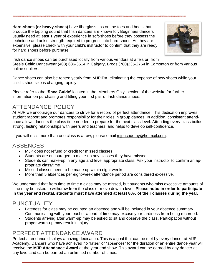**Hard-shoes (or heavy-shoes)** have fiberglass tips on the toes and heels that produce the tapping sound that Irish dancers are known for. Beginners dancers usually need at least 1 year of experience in soft-shoes before they possess the technique and ankle strength required to progress into hard-shoes. As they are expensive, please check with your child's instructor to confirm that they are ready for hard shoes before purchase.



Irish dance shoes can be purchased locally from various vendors at a feis or, from Steele Celtic Dancewear (403) 686-3514 in Calgary, Brogs (780)235-2764 in Edmonton or from various online supliers.

Dance shoes can also be rented yearly from MJPIDA, eliminating the expense of new shoes while your child's shoe size is changing rapidly.

Please refer to the **'Shoe Guide'** located in the 'Members Only' section of the website for further information on purchasing and fitting your first pair of Irish dance shoes.

### ATTENDANCE POLICY

At MJP we encourage our dancers to strive for a record of perfect attendance. This dedication improves student rapport and promotes responsibility for their roles in group dances. In addition, consistent attendance allows dancers the class time needed to prepare for the next class level. Attending every class builds strong, lasting relationships with peers and teachers, and helps to develop self-confidence.

If you will miss more than one class is a row, please email [mjpacademy@hotmail.com.](mailto:mjpacademy@hotmail.com)

#### **ABSENCES**

- MJP does not refund or credit for missed classes.
- Students are encouraged to make-up any classes they have missed.
- Students can make-up in any age and level appropriate class. Ask your instructor to confirm an appropriate class/time
- Missed classes need to be made up within eight weeks.
- More than 5 absences per eight-week attendance period are considered excessive.

We understand that from time to time a class may be missed, but students who miss excessive amounts of time may be asked to withdraw from the class or move down a level. **Please note: in order to participate** in the year end recital, students must have attended at least 80% of their classes during the year.

#### PUNCTUALITY

- Lateness for class may be counted an absence and will be included in your absence summary. Communicating with your teacher ahead of time may excuse your tardiness from being recorded.
- Students arriving after warm-up may be asked to sit and observe the class. Participation without proper warm-up may result in injury.

#### PERFECT ATTENDANCE AWARD

Perfect attendance displays amazing dedication. This is a goal that can be met by every dancer at MJP Academy. Dancers who have achieved no "lates" or "absences" for the duration of an entire dance year will receive the **MJP Attendance Award** at the year end show. This award can be earned by any dancer at any level and can be earned an unlimited number of times.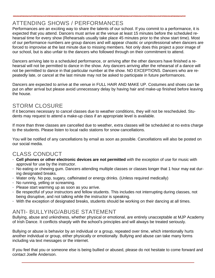### ATTENDING SHOWS / PERFORMANCES

Performances are an exciting way to share the talents of our school. If you commit to a performance, it is expected that you attend. Dancers must arrive at the venue at least 15 minutes before the scheduled rehearsal time for every show (Rehearsals usually take place 45 minutes prior to the show start time). Most of our performance numbers are group dances and will appear chaotic or unprofessional when dancers are forced to improvise at the last minute due to missing members. Not only does this project a poor image of our school, but is also unfair to the dancers who followed through on their commitment to attend.

Dancers arriving late to a scheduled performance, or arriving after the other dancers have finished a rehearsal will not be permitted to dance in the show. Any dancers arriving after the rehearsal of a dance will not be permitted to dance in that particular number at the show. NO EXCEPTIONS. Dancers who are repeatedly late, or cancel at the last minute may not be asked to participate in future performances.

Dancers are expected to arrive at the venue in FULL HAIR AND MAKE UP. Costumes and shoes can be put on after arrival but please avoid unnecessary delay by having hair and make-up finished before leaving the house.

### STORM CLOSURE

If it becomes necessary to cancel classes due to weather conditions, they will not be rescheduled. Students may request to attend a make-up class if an appropriate level is available.

If more than three classes are cancelled due to weather, extra classes will be scheduled at no extra charge to the students. Please listen to local radio stations for snow cancellations.

You will be notified of any cancellations by email as soon as possible. Cancellations will also be posted on our social media.

### CLASS CONDUCT

- **Cell phones or other electronic devices are not permitted** with the exception of use for music with approval for use by the instructor.
- No eating or chewing gum. Dancers attending multiple classes or classes longer that 1 hour may eat during designated breaks.
- Water only. No pop, sugary, caffeinated or energy drinks. (Unless required medically)
- No running, yelling or screaming.
- Please start warming up as soon as you arrive.
- Be respectful of your instructors and fellow students. This includes not interrupting during classes, not being disruptive, and not talking while the instructor is speaking.
- With the exception of designated breaks, students should be working on their dancing at all times.

### ANTI- BULLYING/ABUSE STATEMENT

Bullying, abuse and unkindness, whether physical or emotional, are entirely unacceptable at MJP Academy of Irish Dance. It conflicts sharply with the school's principles and will always be treated seriously.

Bullying or abuse is behavior by an individual or a group, repeated over time, which intentionally hurts another individual or group, either physically or emotionally. Bullying and abuse can take many forms including via text messages or the internet.

If you feel that you or someone else is being bullied or abused, please do not hesitate to come forward and contact Joelle Anderson.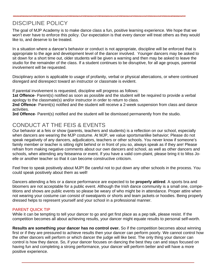## DISCIPLINE POLICY

The goal of MJP Academy is to make dance class a fun, positive learning experience. We hope that we won't ever have to enforce this policy. Our expectation is that every dancer will treat others as they would like to, and deserve to be treated.

In a situation where a dancer's behavior or conduct is not appropriate, discipline will be enforced that is appropriate to the age and development level of the dancer involved. Younger dancers may be asked to sit down for a short time out, older students will be given a warning and then may be asked to leave the studio for the remainder of the class. If a student continues to be disruptive, for all age groups, parental involvement will be requested.

Disciplinary action is applicable to usage of profanity, verbal or physical altercations, or where continued disregard and disrespect toward an instructor or classmate is evident.

If parental involvement is requested, discipline will progress as follows:

**1st Offence**- Parent(s) notified as soon as possible and the student will be required to provide a verbal apology to the classmate(s) and/or instructor in order to return to class.

**2nd Offence**- Parent(s) notified and the student will receive a 2-week suspension from class and dance activities.

**3rd Offence**- Parent(s) notified and the student will be dismissed permanently from the studio.

### CONDUCT AT THE FEIS & EVENTS

Our behavior at a feis or show (parents, teachers and students) is a reflection on our school, especially when dancers are wearing the MJP costume. At MJP, we value sportsmanlike behavior; Please do not speak negatively of any dancers, adjudicators, teachers or other schools. You never know if someone's family member or teacher is sitting right behind or in front of you so, always speak as if they are! Please refrain from making negative comments about our own dancers and school, as well as other dancers and schools, when attending any feiseanna or event. If you have a valid com-plaint, please bring it to Miss Joelle or another teacher so that it can become constructive criticism.

Feel free to speak positively about MJP! Be careful not to put down any other schools in the process. You could speak positively about them as well!

Dancers attending a feis or a dance performance are expected to be **properly attired**. A sports bra and bloomers are not acceptable for a public event. Although the Irish dance community is a small one, competitions and shows are public events so please be weary of who might be in attendance. Proper attire when not wearing your costume can consist of sweatpants or shorts and team jackets or hoodies. Being properly dressed helps to represent yourself and your school in a professional manner.

#### PARENT QUICK TIP

While it can be tempting to tell your dancer to go and get first place as a pep talk, please resist. If the competition becomes all about achieving results, your dancer might equate results to personal self-worth.

**Results are something your dancer has no control over.** So if the competition becomes about winning first or if they are pressured to achieve results then your dancer can perform poorly. We cannot control how the other dancers will perform or which dancer the judge will like best. The only thing your dancer can control is how they dance. So, if your dancer focuses on dancing the best they can and stays focused on having fun and completing a strong performance, your dancer will perform better and will have a more positive experience.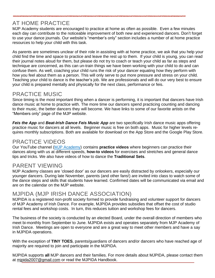## AT HOME PRACTICE

MJP Academy students are encouraged to practice at home as often as possible. Even a few minutes each day can contribute to the noticeable improvement of both new and experienced dancers. Don't forget to use your dance journals. Our website's "member's only" section includes a number of at home practice resources to help your child with this task.

As parents are sometimes unclear of their role in assisting with at home practice, we ask that you help your child find the time and space to practice and leave the rest up to them. If your child is young, you can read their journal notes aloud for them, but please do not try to coach or teach your child as far as steps and technique are concerned, as this can un-train things we have been working with your child to do and can confuse them. As well, coaching your child runs the risk of your dancer equating how they perform with how you feel about them as a person. This will only serve to put more pressure and stress on your child. Teaching your child to dance is the teacher's job. We are professionals and will do our very best to ensure your child is prepared mentally and physically for the next class, performance or feis.

#### PRACTICE MUSIC

Since timing is the most important thing when a dancer is performing, it is important that dancers have Irish dance music at home to practice with. The more time our dancers spend practicing counting and dancing to their music, the better dancers they will become. We have links to some of our favorite artists on the "Members only" page of the MJP website.

*Feis the App* and *Beat-Irish Dance Feis Music App* are two specifically Irish dance music apps offering practice music for dancers at all levels. Beginner music is free on both apps. Music for higher levels requires monthly subscriptions. Both are available for download on the App Store and the Google Play Store.

### PRACTICE VIDEOS

Our YouTube channel (MJP [Academy\)](https://www.youtube.com/c/MJPAcademyIrishDance) contains **practice videos** where beginners can practice their dances along with us at different speeds, **how-to videos** for exercises and stretches and general dance tips and tricks. We also have videos of how to dance the **Traditional Sets**.

#### PARENT VIEWING

MJP Academy classes are 'closed door' as our dancers are easily distracted by onlookers, especially our younger dancers. During late November, parents (and other fans!) are invited into class to watch some of the dance steps and skills that students have learned. Confirmed dates will be communicated via email and are on the calendar on the MJP website.

#### MJPIDA (MJP IRISH DANCE ASSOCIATION)

MJPIDA is a registered non-profit society formed to provide fundraising and volunteer support for dancers of MJP Academy of Irish Dance. For example, MJPIDA provides subsidies that offset the cost of studio rental fees and workshop costs. In turn, this reduces tuition and workshop fees for dancers.

The business of the society is conducted by an elected Board, under the overall direction of members who meet bi-monthly from September to June. MJPIDA exists and operates separately from MJP Academy of Irish Dance. Meetings are open to everyone and are a great way to meet other members and have a say in MJPIDA operations.

With the exception of **TINY TOES**, parents/guardians of dancers and/or dancers who have reached age of majority are required to join and participate in the MJPIDA.

MJPIDA supports **all** MJP dancers and their families. For more details about MJPIDA, please contact them at [mjpida2007@gmail.com](mailto:mjpida2007@gmail.com) or read the MJPIDA Handbook.